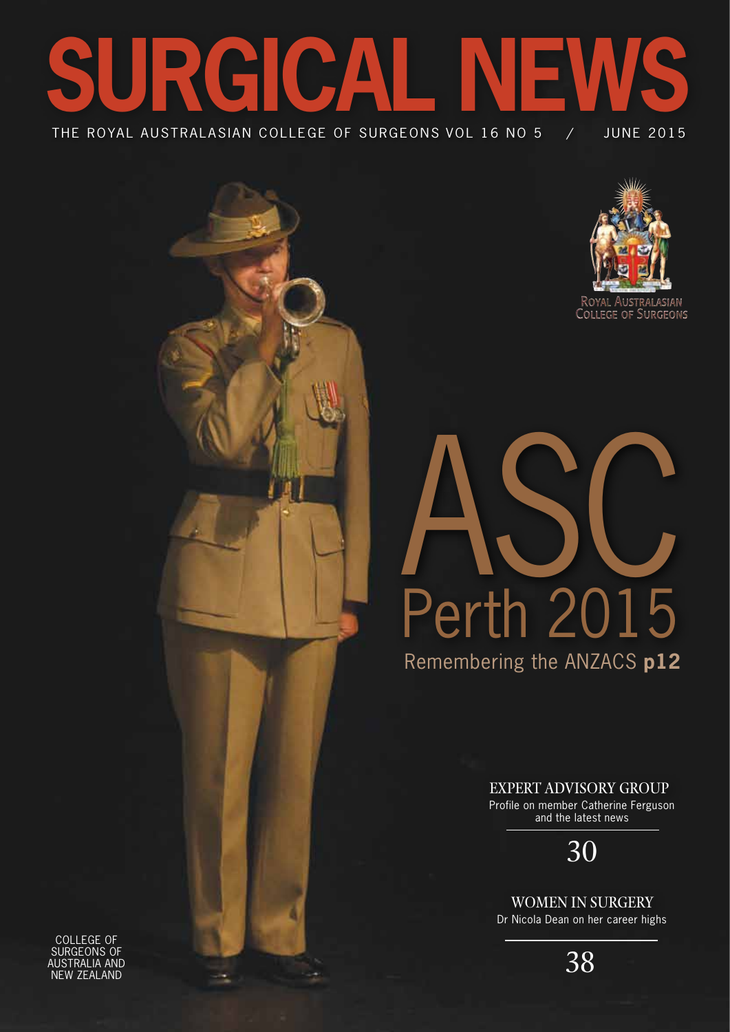



Remembering the ANZACS **p12** Perth 2015 ASC

Expert Advisory Group

Profile on member Catherine Ferguson and the latest news

30

Women in Surgery Dr Nicola Dean on her career highs

38

College of Surgeons of Australia and New Zealand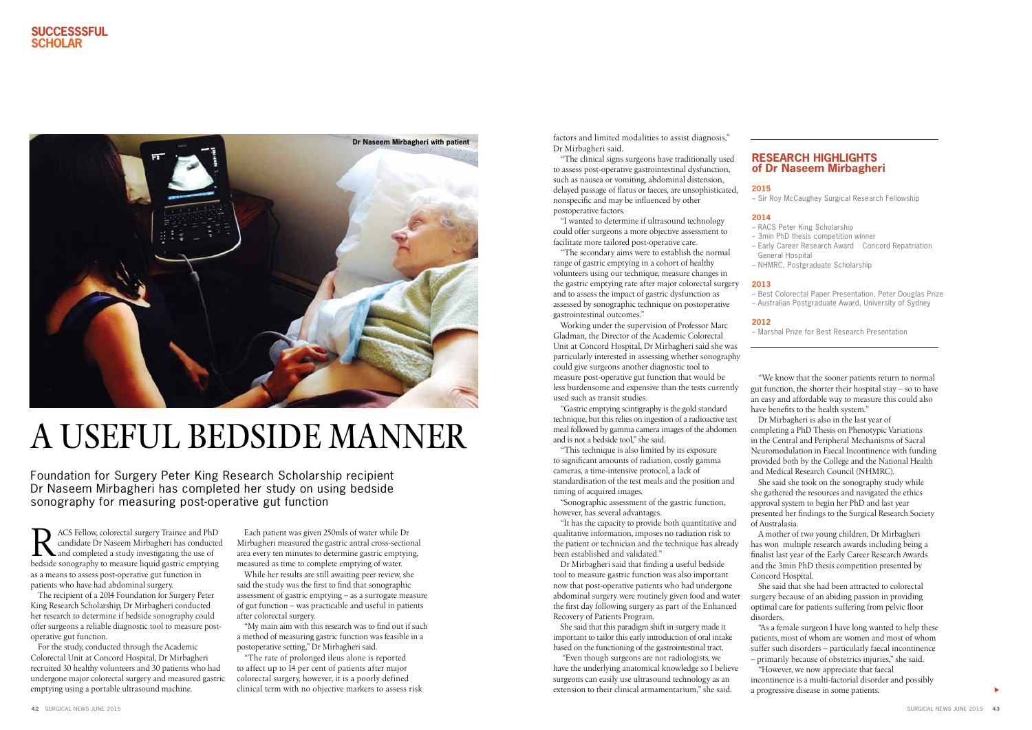$\blacktriangleright$ 

R ACS Fellow, colorectal surgery Trainee and PhD<br>
candidate Dr Naseem Mirbagheri has conducted<br>
and completed a study investigating the use of<br>
hedside conormaly to measure liquid gastric emptying candidate Dr Naseem Mirbagheri has conducted bedside sonography to measure liquid gastric emptying as a means to assess post-operative gut function in patients who have had abdominal surgery.

For the study, conducted through the Academic Colorectal Unit at Concord Hospital, Dr Mirbagheri recruited 30 healthy volunteers and 30 patients who had undergone major colorectal surgery and measured gastric emptying using a portable ultrasound machine.

The recipient of a 2014 Foundation for Surgery Peter King Research Scholarship, Dr Mirbagheri conducted her research to determine if bedside sonography could offer surgeons a reliable diagnostic tool to measure postoperative gut function.

Each patient was given 250mls of water while Dr Mirbagheri measured the gastric antral cross-sectional area every ten minutes to determine gastric emptying, measured as time to complete emptying of water.

While her results are still awaiting peer review, she said the study was the first to find that sonographic assessment of gastric emptying – as a surrogate measure of gut function – was practicable and useful in patients after colorectal surgery.

"My main aim with this research was to find out if such a method of measuring gastric function was feasible in a postoperative setting," Dr Mirbagheri said.

"The rate of prolonged ileus alone is reported to affect up to 14 per cent of patients after major colorectal surgery, however, it is a poorly defined clinical term with no objective markers to assess risk

factors and limited modalities to assist diagnosis," Dr Mirbagheri said.

"The clinical signs surgeons have traditionally used to assess post-operative gastrointestinal dysfunction, such as nausea or vomiting, abdominal distension, delayed passage of flatus or faeces, are unsophisticated, nonspecific and may be influenced by other postoperative factors.

"I wanted to determine if ultrasound technology could offer surgeons a more objective assessment to facilitate more tailored post-operative care.

"The secondary aims were to establish the normal range of gastric emptying in a cohort of healthy volunteers using our technique, measure changes in the gastric emptying rate after major colorectal surgery and to assess the impact of gastric dysfunction as assessed by sonographic technique on postoperative gastrointestinal outcomes."

Working under the supervision of Professor Marc Gladman, the Director of the Academic Colorectal Unit at Concord Hospital, Dr Mirbagheri said she was particularly interested in assessing whether sonography could give surgeons another diagnostic tool to measure post-operative gut function that would be less burdensome and expensive than the tests currently used such as transit studies.

"Gastric emptying scintigraphy is the gold standard technique, but this relies on ingestion of a radioactive test meal followed by gamma camera images of the abdomen and is not a bedside tool," she said.

"This technique is also limited by its exposure to significant amounts of radiation, costly gamma cameras, a time-intensive protocol, a lack of standardisation of the test meals and the position and timing of acquired images.

"Sonographic assessment of the gastric function, however, has several advantages.

"It has the capacity to provide both quantitative and qualitative information, imposes no radiation risk to the patient or technician and the technique has already been established and validated."

Dr Mirbagheri said that finding a useful bedside tool to measure gastric function was also important now that post-operative patients who had undergone abdominal surgery were routinely given food and water the first day following surgery as part of the Enhanced Recovery of Patients Program.

She said that this paradigm shift in surgery made it important to tailor this early introduction of oral intake based on the functioning of the gastrointestinal tract.

 "Even though surgeons are not radiologists, we have the underlying anatomical knowledge so I believe surgeons can easily use ultrasound technology as an extension to their clinical armamentarium," she said.

"We know that the sooner patients return to normal gut function, the shorter their hospital stay – so to have an easy and affordable way to measure this could also have benefits to the health system." Dr Mirbagheri is also in the last year of completing a PhD Thesis on Phenotypic Variations in the Central and Peripheral Mechanisms of Sacral Neuromodulation in Faecal Incontinence with funding provided both by the College and the National Health and Medical Research Council (NHMRC).

She said she took on the sonography study while she gathered the resources and navigated the ethics approval system to begin her PhD and last year presented her findings to the Surgical Research Society of Australasia.

A mother of two young children, Dr Mirbagheri has won multiple research awards including being a finalist last year of the Early Career Research Awards and the 3min PhD thesis competition presented by Concord Hospital.

She said that she had been attracted to colorectal surgery because of an abiding passion in providing optimal care for patients suffering from pelvic floor disorders. "As a female surgeon I have long wanted to help these

patients, most of whom are women and most of whom suffer such disorders – particularly faecal incontinence – primarily because of obstetrics injuries," she said. "However, we now appreciate that faecal incontinence is a multi-factorial disorder and possibly

a progressive disease in some patients.

## A useful bedside manner

Foundation for Surgery Peter King Research Scholarship recipient Dr Naseem Mirbagheri has completed her study on using bedside sonography for measuring post-operative gut function

## **Research Highlights of Dr Naseem Mirbagheri**

**2015**

– Sir Roy McCaughey Surgical Research Fellowship

## **2014**

– RACS Peter King Scholarship – 3min PhD thesis competition winner – Early Career Research Award ‐ Concord Repatriation General Hospital – NHMRC, Postgraduate Scholarship

### **2013**

– Best Colorectal Paper Presentation, Peter Douglas Prize – Australian Postgraduate Award, University of Sydney

## **2012**

– Marshal Prize for Best Research Presentation